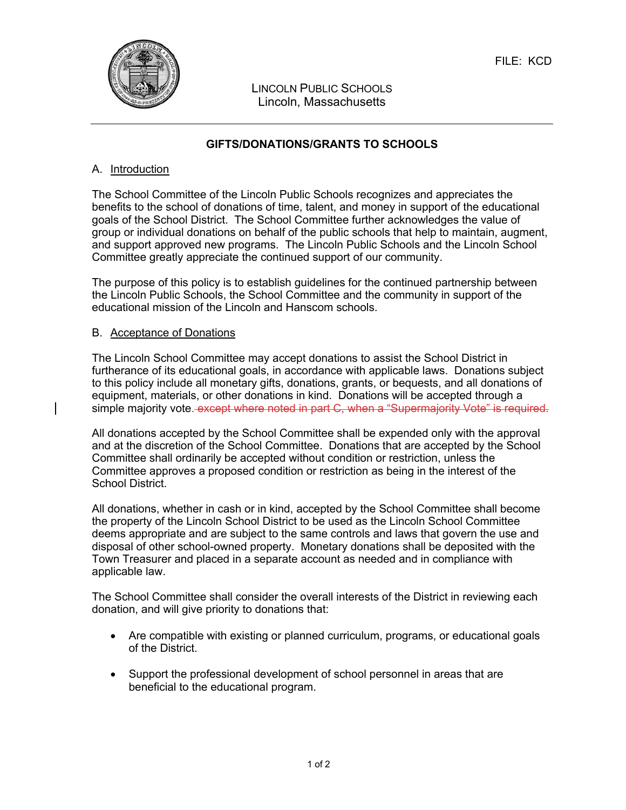

LINCOLN PUBLIC SCHOOLS Lincoln, Massachusetts

## **GIFTS/DONATIONS/GRANTS TO SCHOOLS**

### A. Introduction

The School Committee of the Lincoln Public Schools recognizes and appreciates the benefits to the school of donations of time, talent, and money in support of the educational goals of the School District. The School Committee further acknowledges the value of group or individual donations on behalf of the public schools that help to maintain, augment, and support approved new programs. The Lincoln Public Schools and the Lincoln School Committee greatly appreciate the continued support of our community.

The purpose of this policy is to establish guidelines for the continued partnership between the Lincoln Public Schools, the School Committee and the community in support of the educational mission of the Lincoln and Hanscom schools.

#### B. Acceptance of Donations

The Lincoln School Committee may accept donations to assist the School District in furtherance of its educational goals, in accordance with applicable laws. Donations subject to this policy include all monetary gifts, donations, grants, or bequests, and all donations of equipment, materials, or other donations in kind. Donations will be accepted through a simple majority vote. except where noted in part C, when a "Supermajority Vote" is required.

All donations accepted by the School Committee shall be expended only with the approval and at the discretion of the School Committee. Donations that are accepted by the School Committee shall ordinarily be accepted without condition or restriction, unless the Committee approves a proposed condition or restriction as being in the interest of the School District.

All donations, whether in cash or in kind, accepted by the School Committee shall become the property of the Lincoln School District to be used as the Lincoln School Committee deems appropriate and are subject to the same controls and laws that govern the use and disposal of other school-owned property. Monetary donations shall be deposited with the Town Treasurer and placed in a separate account as needed and in compliance with applicable law.

The School Committee shall consider the overall interests of the District in reviewing each donation, and will give priority to donations that:

- Are compatible with existing or planned curriculum, programs, or educational goals of the District.
- Support the professional development of school personnel in areas that are beneficial to the educational program.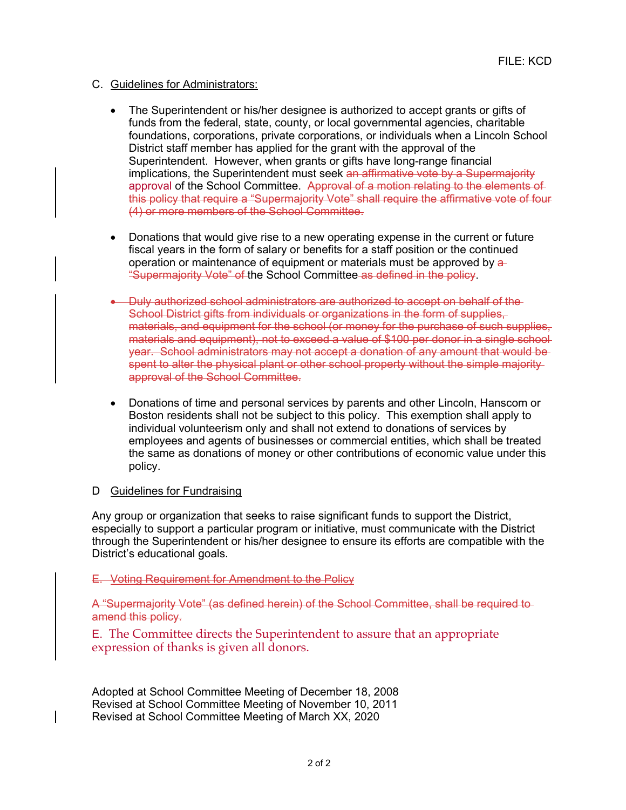- C. Guidelines for Administrators:
	- The Superintendent or his/her designee is authorized to accept grants or gifts of funds from the federal, state, county, or local governmental agencies, charitable foundations, corporations, private corporations, or individuals when a Lincoln School District staff member has applied for the grant with the approval of the Superintendent. However, when grants or gifts have long-range financial implications, the Superintendent must seek an affirmative vote by a Supermajority approval of the School Committee. Approval of a motion relating to the elements of this policy that require a "Supermajority Vote" shall require the affirmative vote of four (4) or more members of the School Committee.
	- Donations that would give rise to a new operating expense in the current or future fiscal years in the form of salary or benefits for a staff position or the continued operation or maintenance of equipment or materials must be approved by a "Supermajority Vote" of the School Committee as defined in the policy.
	- Duly authorized school administrators are authorized to accept on behalf of the-School District gifts from individuals or organizations in the form of supplies, materials, and equipment for the school (or money for the purchase of such supplies, materials and equipment), not to exceed a value of \$100 per donor in a single school year. School administrators may not accept a donation of any amount that would be spent to alter the physical plant or other school property without the simple majority approval of the School Committee.
	- Donations of time and personal services by parents and other Lincoln, Hanscom or Boston residents shall not be subject to this policy. This exemption shall apply to individual volunteerism only and shall not extend to donations of services by employees and agents of businesses or commercial entities, which shall be treated the same as donations of money or other contributions of economic value under this policy.
- D Guidelines for Fundraising

Any group or organization that seeks to raise significant funds to support the District, especially to support a particular program or initiative, must communicate with the District through the Superintendent or his/her designee to ensure its efforts are compatible with the District's educational goals.

E. Voting Requirement for Amendment to the Policy

A "Supermajority Vote" (as defined herein) of the School Committee, shall be required to amend this policy.

E. The Committee directs the Superintendent to assure that an appropriate expression of thanks is given all donors.

Adopted at School Committee Meeting of December 18, 2008 Revised at School Committee Meeting of November 10, 2011 Revised at School Committee Meeting of March XX, 2020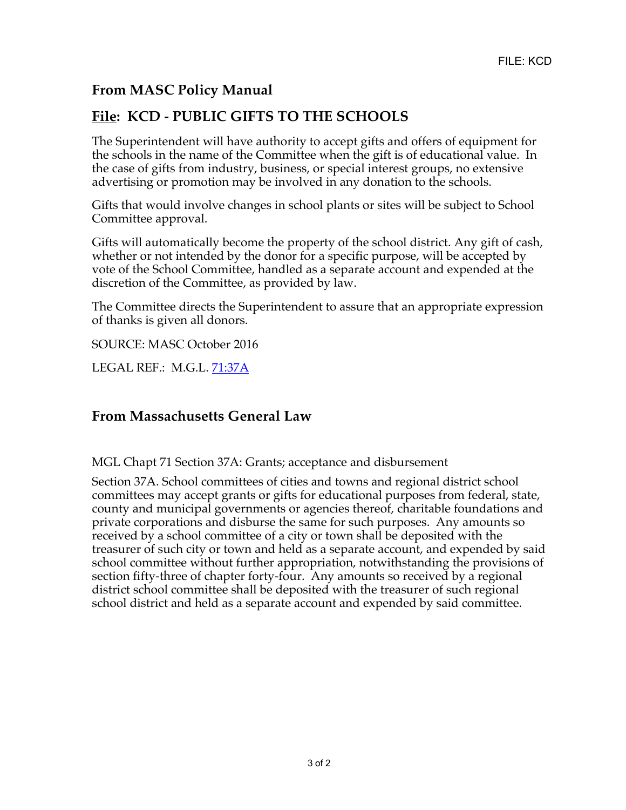## **From MASC Policy Manual**

# **File: KCD - PUBLIC GIFTS TO THE SCHOOLS**

The Superintendent will have authority to accept gifts and offers of equipment for the schools in the name of the Committee when the gift is of educational value. In the case of gifts from industry, business, or special interest groups, no extensive advertising or promotion may be involved in any donation to the schools.

Gifts that would involve changes in school plants or sites will be subject to School Committee approval.

Gifts will automatically become the property of the school district. Any gift of cash, whether or not intended by the donor for a specific purpose, will be accepted by vote of the School Committee, handled as a separate account and expended at the discretion of the Committee, as provided by law.

The Committee directs the Superintendent to assure that an appropriate expression of thanks is given all donors.

SOURCE: MASC October 2016

LEGAL REF.: M.G.L. 71:37A

## **From Massachusetts General Law**

MGL Chapt 71 Section 37A: Grants; acceptance and disbursement

Section 37A. School committees of cities and towns and regional district school committees may accept grants or gifts for educational purposes from federal, state, county and municipal governments or agencies thereof, charitable foundations and private corporations and disburse the same for such purposes. Any amounts so received by a school committee of a city or town shall be deposited with the treasurer of such city or town and held as a separate account, and expended by said school committee without further appropriation, notwithstanding the provisions of section fifty-three of chapter forty-four. Any amounts so received by a regional district school committee shall be deposited with the treasurer of such regional school district and held as a separate account and expended by said committee.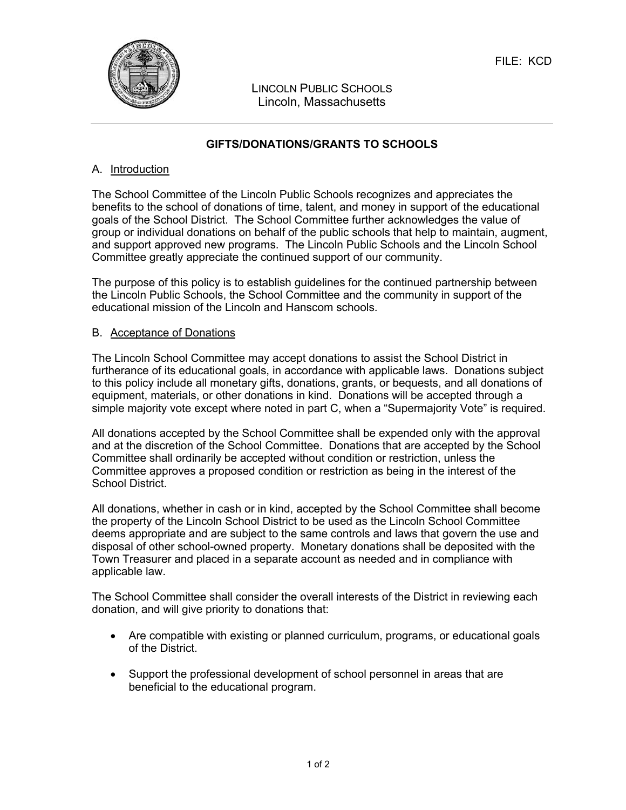

LINCOLN PUBLIC SCHOOLS Lincoln, Massachusetts

## **GIFTS/DONATIONS/GRANTS TO SCHOOLS**

### A. Introduction

The School Committee of the Lincoln Public Schools recognizes and appreciates the benefits to the school of donations of time, talent, and money in support of the educational goals of the School District. The School Committee further acknowledges the value of group or individual donations on behalf of the public schools that help to maintain, augment, and support approved new programs. The Lincoln Public Schools and the Lincoln School Committee greatly appreciate the continued support of our community.

The purpose of this policy is to establish guidelines for the continued partnership between the Lincoln Public Schools, the School Committee and the community in support of the educational mission of the Lincoln and Hanscom schools.

#### B. Acceptance of Donations

The Lincoln School Committee may accept donations to assist the School District in furtherance of its educational goals, in accordance with applicable laws. Donations subject to this policy include all monetary gifts, donations, grants, or bequests, and all donations of equipment, materials, or other donations in kind. Donations will be accepted through a simple majority vote except where noted in part C, when a "Supermajority Vote" is required.

All donations accepted by the School Committee shall be expended only with the approval and at the discretion of the School Committee. Donations that are accepted by the School Committee shall ordinarily be accepted without condition or restriction, unless the Committee approves a proposed condition or restriction as being in the interest of the School District.

All donations, whether in cash or in kind, accepted by the School Committee shall become the property of the Lincoln School District to be used as the Lincoln School Committee deems appropriate and are subject to the same controls and laws that govern the use and disposal of other school-owned property. Monetary donations shall be deposited with the Town Treasurer and placed in a separate account as needed and in compliance with applicable law.

The School Committee shall consider the overall interests of the District in reviewing each donation, and will give priority to donations that:

- Are compatible with existing or planned curriculum, programs, or educational goals of the District.
- Support the professional development of school personnel in areas that are beneficial to the educational program.